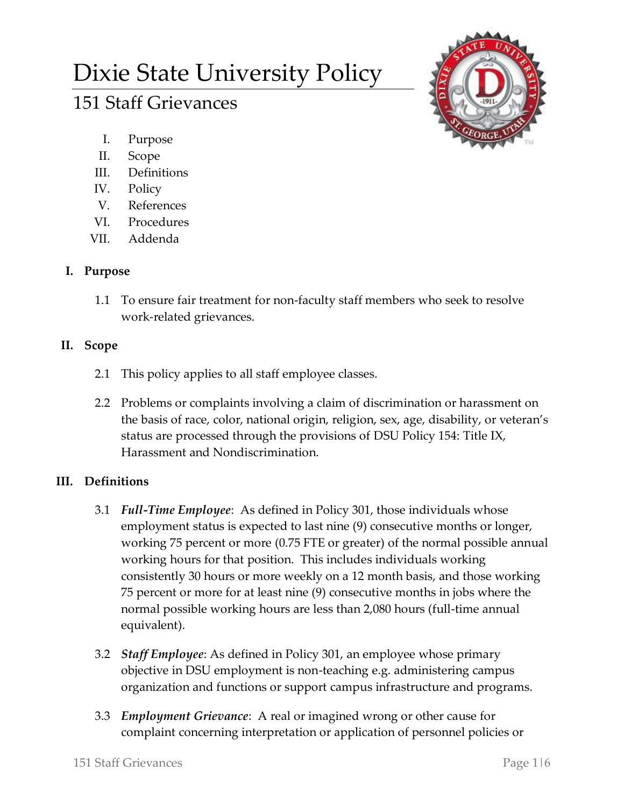# Dixie State University Policy

# 151 Staff Grievances

- I. Purpose
- II. Scope
- III. Definitions
- IV. Policy
- V. References
- VI. Procedures
- VII. Addenda

# **I. Purpose**

1.1 To ensure fair treatment for non-faculty staff members who seek to resolve work-related grievances.

# **II. Scope**

- 2.1 This policy applies to all staff employee classes.
- 2.2 Problems or complaints involving a claim of discrimination or harassment on the basis of race, color, national origin, religion, sex, age, disability, or veteran's status are processed through the provisions of DSU Policy 154: Title IX, Harassment and Nondiscrimination.

# **III. Definitions**

- 3.1 *Full-Time Employee*: As defined in Policy 301, those individuals whose employment status is expected to last nine (9) consecutive months or longer, working 75 percent or more (0.75 FTE or greater) of the normal possible annual working hours for that position. This includes individuals working consistently 30 hours or more weekly on a 12 month basis, and those working 75 percent or more for at least nine (9) consecutive months in jobs where the normal possible working hours are less than 2,080 hours (full-time annual equivalent).
- 3.2 *Staff Employee*: As defined in Policy 301, an employee whose primary objective in DSU employment is non-teaching e.g. administering campus organization and functions or support campus infrastructure and programs.
- 3.3 *Employment Grievance*: A real or imagined wrong or other cause for complaint concerning interpretation or application of personnel policies or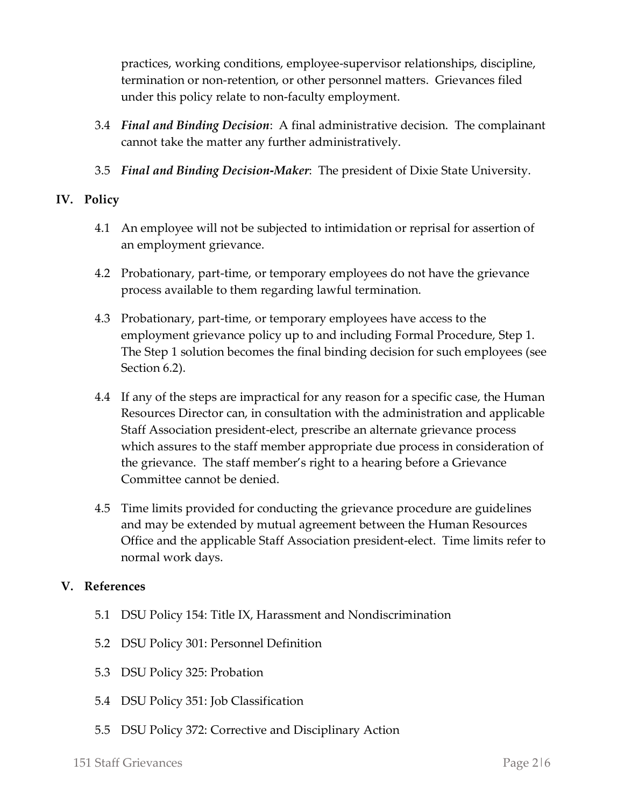practices, working conditions, employee-supervisor relationships, discipline, termination or non-retention, or other personnel matters. Grievances filed under this policy relate to non-faculty employment.

- 3.4 *Final and Binding Decision*: A final administrative decision. The complainant cannot take the matter any further administratively.
- 3.5 *Final and Binding Decision***-***Maker*: The president of Dixie State University.

### **IV. Policy**

- 4.1 An employee will not be subjected to intimidation or reprisal for assertion of an employment grievance.
- 4.2 Probationary, part-time, or temporary employees do not have the grievance process available to them regarding lawful termination.
- 4.3 Probationary, part-time, or temporary employees have access to the employment grievance policy up to and including Formal Procedure, Step 1. The Step 1 solution becomes the final binding decision for such employees (see Section 6.2).
- 4.4 If any of the steps are impractical for any reason for a specific case, the Human Resources Director can, in consultation with the administration and applicable Staff Association president-elect, prescribe an alternate grievance process which assures to the staff member appropriate due process in consideration of the grievance. The staff member's right to a hearing before a Grievance Committee cannot be denied.
- 4.5 Time limits provided for conducting the grievance procedure are guidelines and may be extended by mutual agreement between the Human Resources Office and the applicable Staff Association president-elect. Time limits refer to normal work days.

#### **V. References**

- 5.1 DSU Policy 154: Title IX, Harassment and Nondiscrimination
- 5.2 DSU Policy 301: Personnel Definition
- 5.3 DSU Policy 325: Probation
- 5.4 DSU Policy 351: Job Classification
- 5.5 DSU Policy 372: Corrective and Disciplinary Action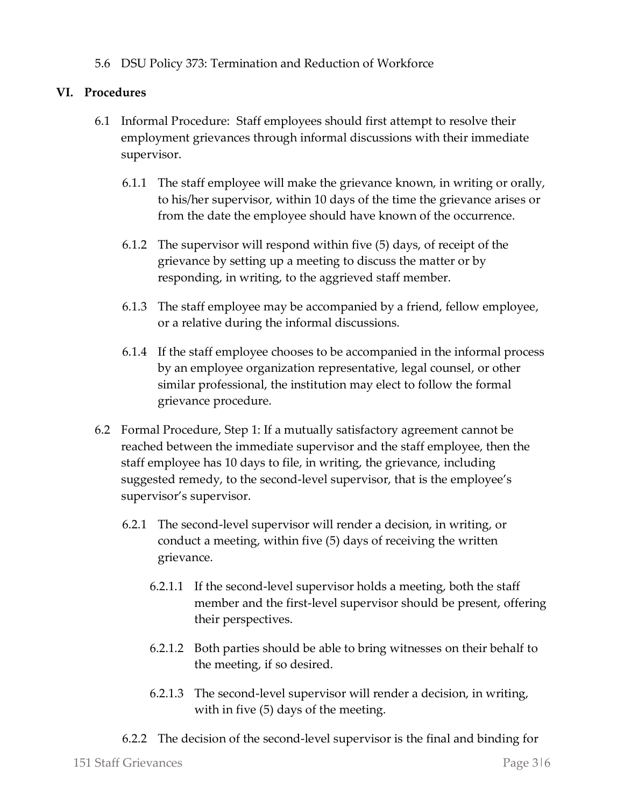5.6 DSU Policy 373: Termination and Reduction of Workforce

### **VI. Procedures**

- 6.1 Informal Procedure: Staff employees should first attempt to resolve their employment grievances through informal discussions with their immediate supervisor.
	- 6.1.1 The staff employee will make the grievance known, in writing or orally, to his/her supervisor, within 10 days of the time the grievance arises or from the date the employee should have known of the occurrence.
	- 6.1.2 The supervisor will respond within five (5) days, of receipt of the grievance by setting up a meeting to discuss the matter or by responding, in writing, to the aggrieved staff member.
	- 6.1.3 The staff employee may be accompanied by a friend, fellow employee, or a relative during the informal discussions.
	- 6.1.4 If the staff employee chooses to be accompanied in the informal process by an employee organization representative, legal counsel, or other similar professional, the institution may elect to follow the formal grievance procedure.
- 6.2 Formal Procedure, Step 1: If a mutually satisfactory agreement cannot be reached between the immediate supervisor and the staff employee, then the staff employee has 10 days to file, in writing, the grievance, including suggested remedy, to the second-level supervisor, that is the employee's supervisor's supervisor.
	- 6.2.1 The second-level supervisor will render a decision, in writing, or conduct a meeting, within five (5) days of receiving the written grievance.
		- 6.2.1.1 If the second-level supervisor holds a meeting, both the staff member and the first-level supervisor should be present, offering their perspectives.
		- 6.2.1.2 Both parties should be able to bring witnesses on their behalf to the meeting, if so desired.
		- 6.2.1.3 The second-level supervisor will render a decision, in writing, with in five (5) days of the meeting.
	- 6.2.2 The decision of the second-level supervisor is the final and binding for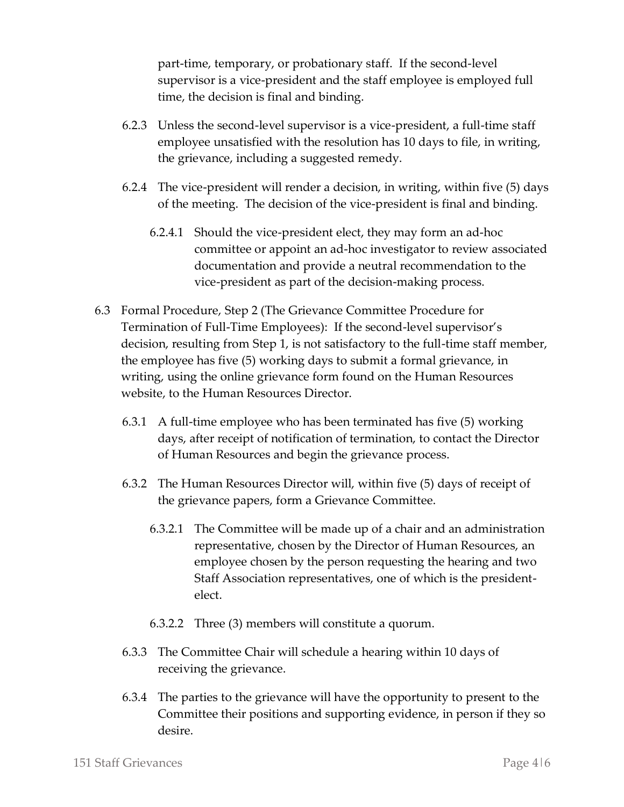part-time, temporary, or probationary staff. If the second-level supervisor is a vice-president and the staff employee is employed full time, the decision is final and binding.

- 6.2.3 Unless the second-level supervisor is a vice-president, a full-time staff employee unsatisfied with the resolution has 10 days to file, in writing, the grievance, including a suggested remedy.
- 6.2.4 The vice-president will render a decision, in writing, within five (5) days of the meeting. The decision of the vice-president is final and binding.
	- 6.2.4.1 Should the vice-president elect, they may form an ad-hoc committee or appoint an ad-hoc investigator to review associated documentation and provide a neutral recommendation to the vice-president as part of the decision-making process.
- 6.3 Formal Procedure, Step 2 (The Grievance Committee Procedure for Termination of Full-Time Employees): If the second-level supervisor's decision, resulting from Step 1, is not satisfactory to the full-time staff member, the employee has five (5) working days to submit a formal grievance, in writing, using the online grievance form found on the Human Resources website, to the Human Resources Director.
	- 6.3.1 A full-time employee who has been terminated has five (5) working days, after receipt of notification of termination, to contact the Director of Human Resources and begin the grievance process.
	- 6.3.2 The Human Resources Director will, within five (5) days of receipt of the grievance papers, form a Grievance Committee.
		- 6.3.2.1 The Committee will be made up of a chair and an administration representative, chosen by the Director of Human Resources, an employee chosen by the person requesting the hearing and two Staff Association representatives, one of which is the presidentelect.
		- 6.3.2.2 Three (3) members will constitute a quorum.
	- 6.3.3 The Committee Chair will schedule a hearing within 10 days of receiving the grievance.
	- 6.3.4 The parties to the grievance will have the opportunity to present to the Committee their positions and supporting evidence, in person if they so desire.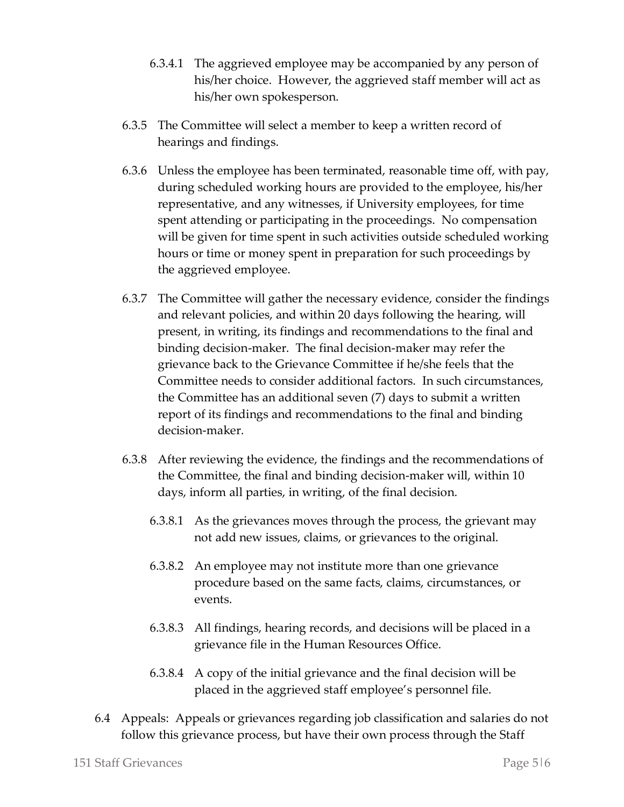- 6.3.4.1 The aggrieved employee may be accompanied by any person of his/her choice. However, the aggrieved staff member will act as his/her own spokesperson.
- 6.3.5 The Committee will select a member to keep a written record of hearings and findings.
- 6.3.6 Unless the employee has been terminated, reasonable time off, with pay, during scheduled working hours are provided to the employee, his/her representative, and any witnesses, if University employees, for time spent attending or participating in the proceedings. No compensation will be given for time spent in such activities outside scheduled working hours or time or money spent in preparation for such proceedings by the aggrieved employee.
- 6.3.7 The Committee will gather the necessary evidence, consider the findings and relevant policies, and within 20 days following the hearing, will present, in writing, its findings and recommendations to the final and binding decision-maker. The final decision-maker may refer the grievance back to the Grievance Committee if he/she feels that the Committee needs to consider additional factors. In such circumstances, the Committee has an additional seven (7) days to submit a written report of its findings and recommendations to the final and binding decision-maker.
- 6.3.8 After reviewing the evidence, the findings and the recommendations of the Committee, the final and binding decision-maker will, within 10 days, inform all parties, in writing, of the final decision.
	- 6.3.8.1 As the grievances moves through the process, the grievant may not add new issues, claims, or grievances to the original.
	- 6.3.8.2 An employee may not institute more than one grievance procedure based on the same facts, claims, circumstances, or events.
	- 6.3.8.3 All findings, hearing records, and decisions will be placed in a grievance file in the Human Resources Office.
	- 6.3.8.4 A copy of the initial grievance and the final decision will be placed in the aggrieved staff employee's personnel file.
- 6.4 Appeals: Appeals or grievances regarding job classification and salaries do not follow this grievance process, but have their own process through the Staff